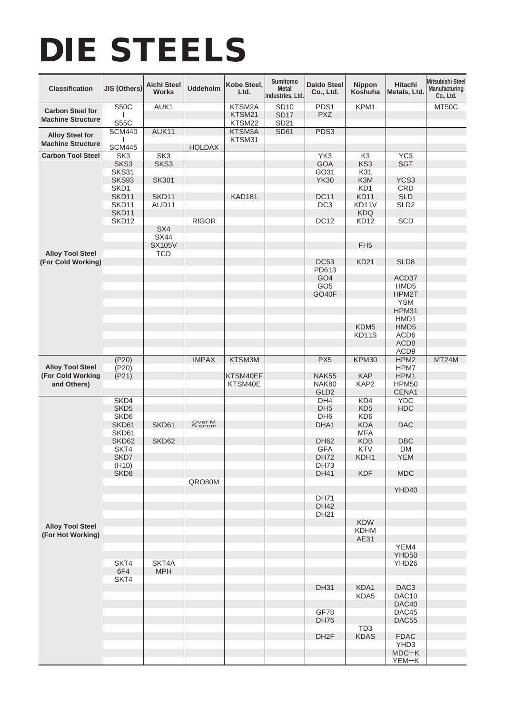## DIE STEELS

| <b>Classification</b>                               | JIS (Others)               | <b>Aichi Steel</b><br><b>Works</b> | <b>Uddeholm</b>  | Kobe Steel,<br>Ltd.        | Sumitomo<br><b>Metal</b><br>Industries, Ltd.   | <b>Daido Steel</b><br>Co., Ltd.  | <b>Nippon</b><br>Koshuha | <b>Hitachi</b><br>Metals, Ltd. | <b>Mitsubishi Steel</b><br>Manufacturing<br>Co., Ltd. |
|-----------------------------------------------------|----------------------------|------------------------------------|------------------|----------------------------|------------------------------------------------|----------------------------------|--------------------------|--------------------------------|-------------------------------------------------------|
| <b>Carbon Steel for</b><br><b>Machine Structure</b> | <b>S50C</b><br><b>S55C</b> | AUK1                               |                  | KTSM2A<br>KTSM21<br>KTSM22 | <b>SD10</b><br><b>SD17</b><br>SD <sub>21</sub> | PDS1<br><b>PXZ</b>               | KPM1                     |                                | MT50C                                                 |
|                                                     | <b>SCM440</b>              | AUK11                              |                  | KTSM3A                     | <b>SD61</b>                                    | PDS3                             |                          |                                |                                                       |
| <b>Alloy Steel for</b><br><b>Machine Structure</b>  | <b>SCM445</b>              |                                    | <b>HOLDAX</b>    | KTSM31                     |                                                |                                  |                          |                                |                                                       |
| <b>Carbon Tool Steel</b>                            | SK3                        | SK3                                |                  |                            |                                                | YK <sub>3</sub>                  | K3                       | $\overline{YC3}$               |                                                       |
|                                                     | SKS3                       | SKS3                               |                  |                            |                                                | <b>GOA</b>                       | KS3                      | <b>SGT</b>                     |                                                       |
|                                                     | SKS31<br>SKS93             | <b>SK301</b>                       |                  |                            |                                                | GO31<br><b>YK30</b>              | K31<br>K <sub>3</sub> M  | YCS3                           |                                                       |
|                                                     | SKD1                       |                                    |                  |                            |                                                |                                  | KD1                      | CRD                            |                                                       |
|                                                     | SKD11                      | SKD11                              |                  | <b>KAD181</b>              |                                                | <b>DC11</b>                      | <b>KD11</b>              | <b>SLD</b>                     |                                                       |
|                                                     | SKD11                      | AUD11                              |                  |                            |                                                | DC <sub>3</sub>                  | KD11V                    | SLD <sub>2</sub>               |                                                       |
|                                                     | SKD11                      |                                    |                  |                            |                                                |                                  | <b>KDQ</b>               |                                |                                                       |
|                                                     | SKD <sub>12</sub>          |                                    | <b>RIGOR</b>     |                            |                                                | <b>DC12</b>                      | KD <sub>12</sub>         | SCD                            |                                                       |
|                                                     |                            | SX4<br><b>SX44</b>                 |                  |                            |                                                |                                  |                          |                                |                                                       |
|                                                     |                            | <b>SX105V</b>                      |                  |                            |                                                |                                  | FH <sub>5</sub>          |                                |                                                       |
| <b>Alloy Tool Steel</b>                             |                            | <b>TCD</b>                         |                  |                            |                                                |                                  |                          |                                |                                                       |
| (For Cold Working)                                  |                            |                                    |                  |                            |                                                | <b>DC53</b>                      | <b>KD21</b>              | SLD <sub>8</sub>               |                                                       |
|                                                     |                            |                                    |                  |                            |                                                | PD613                            |                          |                                |                                                       |
|                                                     |                            |                                    |                  |                            |                                                | GO <sub>4</sub>                  |                          | ACD37                          |                                                       |
|                                                     |                            |                                    |                  |                            |                                                | GO <sub>5</sub><br>GO40F         |                          | HMD <sub>5</sub><br>HPM2T      |                                                       |
|                                                     |                            |                                    |                  |                            |                                                |                                  |                          | <b>YSM</b>                     |                                                       |
|                                                     |                            |                                    |                  |                            |                                                |                                  |                          | HPM31                          |                                                       |
|                                                     |                            |                                    |                  |                            |                                                |                                  |                          | HMD1                           |                                                       |
|                                                     |                            |                                    |                  |                            |                                                |                                  | KDM <sub>5</sub>         | HMD <sub>5</sub>               |                                                       |
|                                                     |                            |                                    |                  |                            |                                                |                                  | KD11S                    | ACD6<br>ACD <sub>8</sub>       |                                                       |
|                                                     |                            |                                    |                  |                            |                                                |                                  |                          | ACD <sub>9</sub>               |                                                       |
|                                                     | (P20)                      |                                    | <b>IMPAX</b>     | KTSM3M                     |                                                | PX <sub>5</sub>                  | KPM30                    | HPM2                           | MT24M                                                 |
| <b>Alloy Tool Steel</b>                             | (P20)                      |                                    |                  |                            |                                                |                                  |                          | HPM7                           |                                                       |
| (For Cold Working<br>and Others)                    | (P21)                      |                                    |                  | KTSM40EF                   |                                                | <b>NAK55</b>                     | <b>KAP</b>               | HPM1                           |                                                       |
|                                                     |                            |                                    |                  | KTSM40E                    |                                                | <b>NAK80</b><br>GLD <sub>2</sub> | KAP2                     | <b>HPM50</b><br>CENA1          |                                                       |
|                                                     | SKD4                       |                                    |                  |                            |                                                | DH4                              | KD4                      | <b>YDC</b>                     |                                                       |
|                                                     | SKD <sub>5</sub>           |                                    |                  |                            |                                                | DH <sub>5</sub>                  | KD <sub>5</sub>          | <b>HDC</b>                     |                                                       |
|                                                     | SKD <sub>6</sub>           |                                    |                  |                            |                                                | DH <sub>6</sub>                  | KD <sub>6</sub>          |                                |                                                       |
|                                                     | SKD61                      | SKD61                              | Over M<br>Suprem |                            |                                                | DHA1                             | <b>KDA</b>               | <b>DAC</b>                     |                                                       |
|                                                     | SKD61<br>SKD62             | SKD62                              |                  |                            |                                                | <b>DH62</b>                      | <b>MFA</b><br><b>KDB</b> | <b>DBC</b>                     |                                                       |
|                                                     | SKT4                       |                                    |                  |                            |                                                | <b>GFA</b>                       | KTV                      | <b>DM</b>                      |                                                       |
|                                                     | SKD7                       |                                    |                  |                            |                                                | <b>DH72</b>                      | KDH <sub>1</sub>         | YEM                            |                                                       |
|                                                     | (H10)                      |                                    |                  |                            |                                                | DH73                             |                          |                                |                                                       |
|                                                     | SKD <sub>8</sub>           |                                    | QRO80M           |                            |                                                | <b>DH41</b>                      | <b>KDF</b>               | <b>MDC</b>                     |                                                       |
| <b>Alloy Tool Steel</b><br>(For Hot Working)        |                            |                                    |                  |                            |                                                |                                  |                          | YHD40                          |                                                       |
|                                                     |                            |                                    |                  |                            |                                                | <b>DH71</b>                      |                          |                                |                                                       |
|                                                     |                            |                                    |                  |                            |                                                | <b>DH42</b>                      |                          |                                |                                                       |
|                                                     |                            |                                    |                  |                            |                                                | <b>DH21</b>                      | <b>KDW</b>               |                                |                                                       |
|                                                     |                            |                                    |                  |                            |                                                |                                  | <b>KDHM</b>              |                                |                                                       |
|                                                     |                            |                                    |                  |                            |                                                |                                  | AE31                     |                                |                                                       |
|                                                     |                            |                                    |                  |                            |                                                |                                  |                          | YEM4                           |                                                       |
|                                                     |                            |                                    |                  |                            |                                                |                                  |                          | YHD50                          |                                                       |
|                                                     | SKT4<br>6F4                | SKT4A<br><b>MPH</b>                |                  |                            |                                                |                                  |                          | YHD26                          |                                                       |
|                                                     | SKT4                       |                                    |                  |                            |                                                |                                  |                          |                                |                                                       |
|                                                     |                            |                                    |                  |                            |                                                | <b>DH31</b>                      | KDA1                     | DAC <sub>3</sub>               |                                                       |
|                                                     |                            |                                    |                  |                            |                                                |                                  | KDA5                     | DAC10                          |                                                       |
|                                                     |                            |                                    |                  |                            |                                                |                                  |                          | DAC40                          |                                                       |
|                                                     |                            |                                    |                  |                            |                                                | GF78<br><b>DH76</b>              |                          | DAC45<br>DAC55                 |                                                       |
|                                                     |                            |                                    |                  |                            |                                                |                                  | TD <sub>3</sub>          |                                |                                                       |
|                                                     |                            |                                    |                  |                            |                                                | DH <sub>2</sub> F                | <b>KDAS</b>              | <b>FDAC</b>                    |                                                       |
|                                                     |                            |                                    |                  |                            |                                                |                                  |                          | YHD3                           |                                                       |
|                                                     |                            |                                    |                  |                            |                                                |                                  |                          | $MDC-K$                        |                                                       |
|                                                     |                            |                                    |                  |                            |                                                |                                  |                          | YEM-K                          |                                                       |